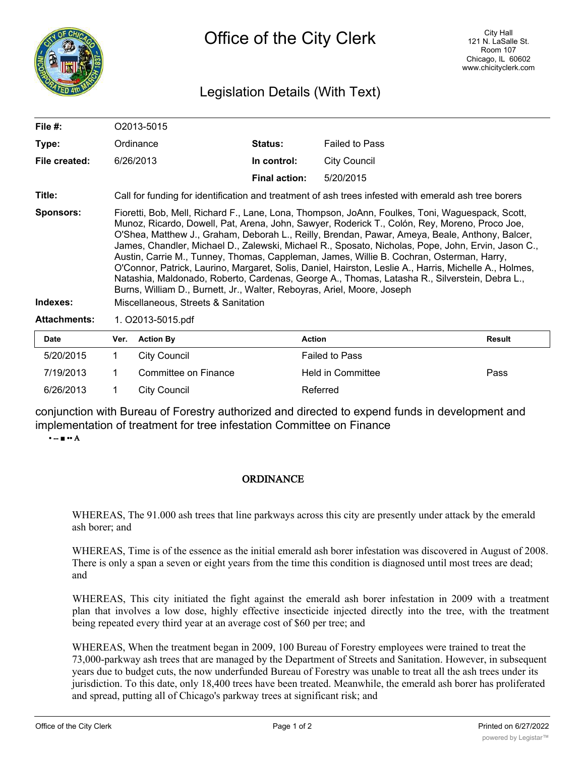

## Legislation Details (With Text)

| File $#$ :          | O <sub>2013-5015</sub>                                                                                                                                                                                                                                                                                                                                                                                                                                                                                                                                                                                                                                                                                                                                                                     |                      |                       |               |  |  |
|---------------------|--------------------------------------------------------------------------------------------------------------------------------------------------------------------------------------------------------------------------------------------------------------------------------------------------------------------------------------------------------------------------------------------------------------------------------------------------------------------------------------------------------------------------------------------------------------------------------------------------------------------------------------------------------------------------------------------------------------------------------------------------------------------------------------------|----------------------|-----------------------|---------------|--|--|
| Type:               | Ordinance                                                                                                                                                                                                                                                                                                                                                                                                                                                                                                                                                                                                                                                                                                                                                                                  | <b>Status:</b>       | <b>Failed to Pass</b> |               |  |  |
| File created:       | 6/26/2013                                                                                                                                                                                                                                                                                                                                                                                                                                                                                                                                                                                                                                                                                                                                                                                  | In control:          | City Council          |               |  |  |
|                     |                                                                                                                                                                                                                                                                                                                                                                                                                                                                                                                                                                                                                                                                                                                                                                                            | <b>Final action:</b> | 5/20/2015             |               |  |  |
| Title:              | Call for funding for identification and treatment of ash trees infested with emerald ash tree borers                                                                                                                                                                                                                                                                                                                                                                                                                                                                                                                                                                                                                                                                                       |                      |                       |               |  |  |
| Sponsors:           | Fioretti, Bob, Mell, Richard F., Lane, Lona, Thompson, JoAnn, Foulkes, Toni, Waguespack, Scott,<br>Munoz, Ricardo, Dowell, Pat, Arena, John, Sawyer, Roderick T., Colón, Rey, Moreno, Proco Joe,<br>O'Shea, Matthew J., Graham, Deborah L., Reilly, Brendan, Pawar, Ameya, Beale, Anthony, Balcer,<br>James, Chandler, Michael D., Zalewski, Michael R., Sposato, Nicholas, Pope, John, Ervin, Jason C.,<br>Austin, Carrie M., Tunney, Thomas, Cappleman, James, Willie B. Cochran, Osterman, Harry,<br>O'Connor, Patrick, Laurino, Margaret, Solis, Daniel, Hairston, Leslie A., Harris, Michelle A., Holmes,<br>Natashia, Maldonado, Roberto, Cardenas, George A., Thomas, Latasha R., Silverstein, Debra L.,<br>Burns, William D., Burnett, Jr., Walter, Reboyras, Ariel, Moore, Joseph |                      |                       |               |  |  |
| Indexes:            | Miscellaneous, Streets & Sanitation                                                                                                                                                                                                                                                                                                                                                                                                                                                                                                                                                                                                                                                                                                                                                        |                      |                       |               |  |  |
| <b>Attachments:</b> | 1. O2013-5015.pdf                                                                                                                                                                                                                                                                                                                                                                                                                                                                                                                                                                                                                                                                                                                                                                          |                      |                       |               |  |  |
| <b>Date</b>         | Ver. Action By                                                                                                                                                                                                                                                                                                                                                                                                                                                                                                                                                                                                                                                                                                                                                                             | <b>Action</b>        |                       | <b>Result</b> |  |  |

| <b>Date</b> | Ver. | <b>Action By</b>     | <b>Action</b>         | <b>Result</b> |
|-------------|------|----------------------|-----------------------|---------------|
| 5/20/2015   |      | City Council         | <b>Failed to Pass</b> |               |
| 7/19/2013   |      | Committee on Finance | Held in Committee     | Pass          |
| 6/26/2013   |      | City Council         | Referred              |               |

conjunction with Bureau of Forestry authorized and directed to expend funds in development and implementation of treatment for tree infestation Committee on Finance

• -- ■ •• A

## **ORDINANCE**

WHEREAS, The 91.000 ash trees that line parkways across this city are presently under attack by the emerald ash borer; and

WHEREAS, Time is of the essence as the initial emerald ash borer infestation was discovered in August of 2008. There is only a span a seven or eight years from the time this condition is diagnosed until most trees are dead; and

WHEREAS, This city initiated the fight against the emerald ash borer infestation in 2009 with a treatment plan that involves a low dose, highly effective insecticide injected directly into the tree, with the treatment being repeated every third year at an average cost of \$60 per tree; and

WHEREAS, When the treatment began in 2009, 100 Bureau of Forestry employees were trained to treat the 73,000-parkway ash trees that are managed by the Department of Streets and Sanitation. However, in subsequent years due to budget cuts, the now underfunded Bureau of Forestry was unable to treat all the ash trees under its jurisdiction. To this date, only 18,400 trees have been treated. Meanwhile, the emerald ash borer has proliferated and spread, putting all of Chicago's parkway trees at significant risk; and